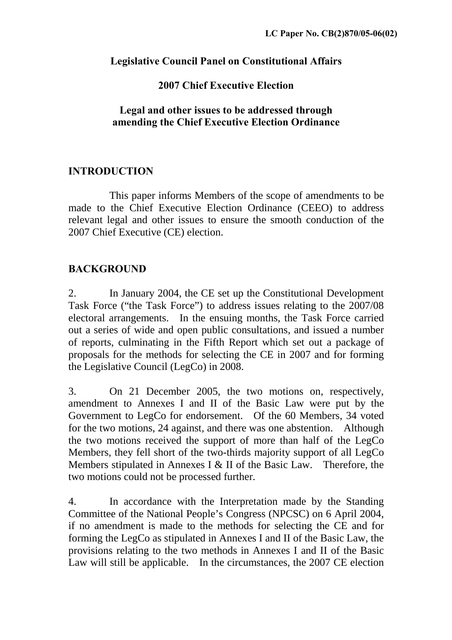## **Legislative Council Panel on Constitutional Affairs**

# **2007 Chief Executive Election**

### **Legal and other issues to be addressed through amending the Chief Executive Election Ordinance**

# **INTRODUCTION**

This paper informs Members of the scope of amendments to be made to the Chief Executive Election Ordinance (CEEO) to address relevant legal and other issues to ensure the smooth conduction of the 2007 Chief Executive (CE) election.

# **BACKGROUND**

2. In January 2004, the CE set up the Constitutional Development Task Force ("the Task Force") to address issues relating to the 2007/08 electoral arrangements. In the ensuing months, the Task Force carried out a series of wide and open public consultations, and issued a number of reports, culminating in the Fifth Report which set out a package of proposals for the methods for selecting the CE in 2007 and for forming the Legislative Council (LegCo) in 2008.

3. On 21 December 2005, the two motions on, respectively, amendment to Annexes I and II of the Basic Law were put by the Government to LegCo for endorsement. Of the 60 Members, 34 voted for the two motions, 24 against, and there was one abstention. Although the two motions received the support of more than half of the LegCo Members, they fell short of the two-thirds majority support of all LegCo Members stipulated in Annexes I & II of the Basic Law. Therefore, the two motions could not be processed further.

4. In accordance with the Interpretation made by the Standing Committee of the National People's Congress (NPCSC) on 6 April 2004, if no amendment is made to the methods for selecting the CE and for forming the LegCo as stipulated in Annexes I and II of the Basic Law, the provisions relating to the two methods in Annexes I and II of the Basic Law will still be applicable. In the circumstances, the 2007 CE election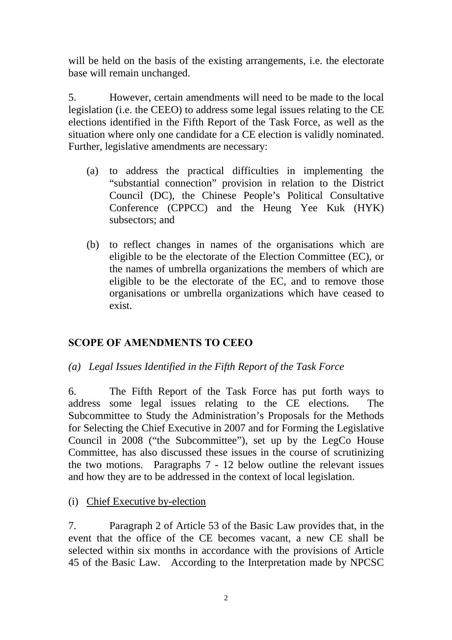will be held on the basis of the existing arrangements, i.e. the electorate base will remain unchanged.

5. However, certain amendments will need to be made to the local legislation (i.e. the CEEO) to address some legal issues relating to the CE elections identified in the Fifth Report of the Task Force, as well as the situation where only one candidate for a CE election is validly nominated. Further, legislative amendments are necessary:

- (a) to address the practical difficulties in implementing the "substantial connection" provision in relation to the District Council (DC), the Chinese People's Political Consultative Conference (CPPCC) and the Heung Yee Kuk (HYK) subsectors; and
- (b) to reflect changes in names of the organisations which are eligible to be the electorate of the Election Committee (EC), or the names of umbrella organizations the members of which are eligible to be the electorate of the EC, and to remove those organisations or umbrella organizations which have ceased to exist.

# **SCOPE OF AMENDMENTS TO CEEO**

*(a) Legal Issues Identified in the Fifth Report of the Task Force* 

6. The Fifth Report of the Task Force has put forth ways to address some legal issues relating to the CE elections. The Subcommittee to Study the Administration's Proposals for the Methods for Selecting the Chief Executive in 2007 and for Forming the Legislative Council in 2008 ("the Subcommittee"), set up by the LegCo House Committee, has also discussed these issues in the course of scrutinizing the two motions. Paragraphs 7 - 12 below outline the relevant issues and how they are to be addressed in the context of local legislation.

(i) Chief Executive by-election

7. Paragraph 2 of Article 53 of the Basic Law provides that, in the event that the office of the CE becomes vacant, a new CE shall be selected within six months in accordance with the provisions of Article 45 of the Basic Law. According to the Interpretation made by NPCSC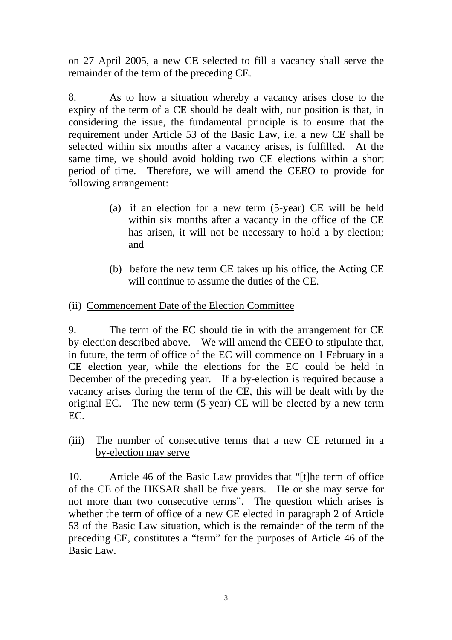on 27 April 2005, a new CE selected to fill a vacancy shall serve the remainder of the term of the preceding CE.

8. As to how a situation whereby a vacancy arises close to the expiry of the term of a CE should be dealt with, our position is that, in considering the issue, the fundamental principle is to ensure that the requirement under Article 53 of the Basic Law, i.e. a new CE shall be selected within six months after a vacancy arises, is fulfilled. At the same time, we should avoid holding two CE elections within a short period of time. Therefore, we will amend the CEEO to provide for following arrangement:

- (a) if an election for a new term (5-year) CE will be held within six months after a vacancy in the office of the CE has arisen, it will not be necessary to hold a by-election; and
- (b) before the new term CE takes up his office, the Acting CE will continue to assume the duties of the CE.
- (ii) Commencement Date of the Election Committee

9. The term of the EC should tie in with the arrangement for CE by-election described above. We will amend the CEEO to stipulate that, in future, the term of office of the EC will commence on 1 February in a CE election year, while the elections for the EC could be held in December of the preceding year. If a by-election is required because a vacancy arises during the term of the CE, this will be dealt with by the original EC. The new term (5-year) CE will be elected by a new term EC.

(iii) The number of consecutive terms that a new CE returned in a by-election may serve

10. Article 46 of the Basic Law provides that "[t]he term of office of the CE of the HKSAR shall be five years. He or she may serve for not more than two consecutive terms". The question which arises is whether the term of office of a new CE elected in paragraph 2 of Article 53 of the Basic Law situation, which is the remainder of the term of the preceding CE, constitutes a "term" for the purposes of Article 46 of the Basic Law.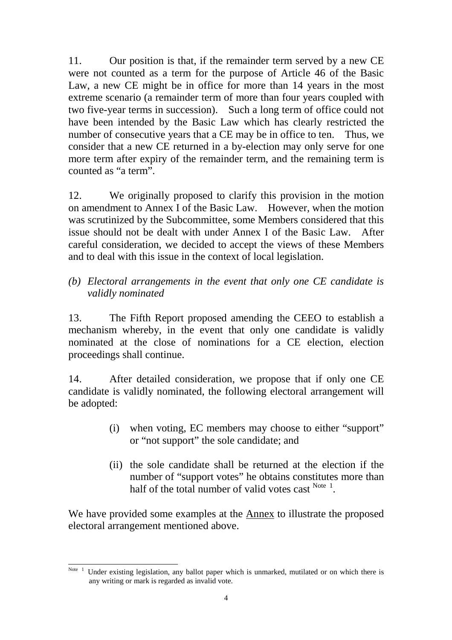11. Our position is that, if the remainder term served by a new CE were not counted as a term for the purpose of Article 46 of the Basic Law, a new CE might be in office for more than 14 years in the most extreme scenario (a remainder term of more than four years coupled with two five-year terms in succession). Such a long term of office could not have been intended by the Basic Law which has clearly restricted the number of consecutive years that a CE may be in office to ten. Thus, we consider that a new CE returned in a by-election may only serve for one more term after expiry of the remainder term, and the remaining term is counted as "a term".

12. We originally proposed to clarify this provision in the motion on amendment to Annex I of the Basic Law. However, when the motion was scrutinized by the Subcommittee, some Members considered that this issue should not be dealt with under Annex I of the Basic Law. After careful consideration, we decided to accept the views of these Members and to deal with this issue in the context of local legislation.

*(b) Electoral arrangements in the event that only one CE candidate is validly nominated* 

13. The Fifth Report proposed amending the CEEO to establish a mechanism whereby, in the event that only one candidate is validly nominated at the close of nominations for a CE election, election proceedings shall continue.

14. After detailed consideration, we propose that if only one CE candidate is validly nominated, the following electoral arrangement will be adopted:

- (i) when voting, EC members may choose to either "support" or "not support" the sole candidate; and
- (ii) the sole candidate shall be returned at the election if the number of "support votes" he obtains constitutes more than half of the total number of valid votes cast  $N_{\text{obs}}$ <sup>Note 1</sup>.

We have provided some examples at the Annex to illustrate the proposed electoral arrangement mentioned above.

Note <sup>1</sup> Under existing legislation, any ballot paper which is unmarked, mutilated or on which there is any writing or mark is regarded as invalid vote.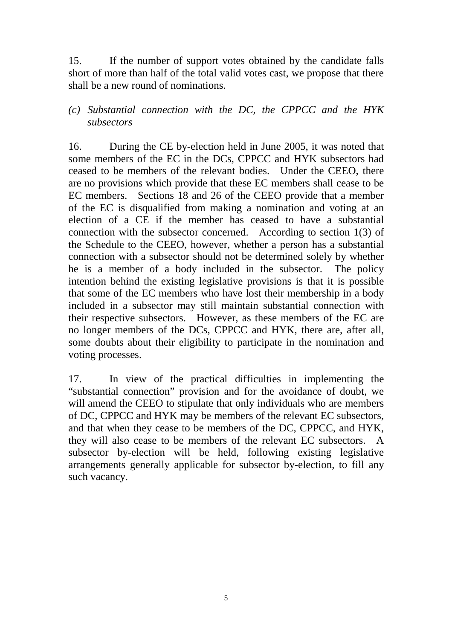15. If the number of support votes obtained by the candidate falls short of more than half of the total valid votes cast, we propose that there shall be a new round of nominations.

### *(c) Substantial connection with the DC, the CPPCC and the HYK subsectors*

16. During the CE by-election held in June 2005, it was noted that some members of the EC in the DCs, CPPCC and HYK subsectors had ceased to be members of the relevant bodies. Under the CEEO, there are no provisions which provide that these EC members shall cease to be EC members. Sections 18 and 26 of the CEEO provide that a member of the EC is disqualified from making a nomination and voting at an election of a CE if the member has ceased to have a substantial connection with the subsector concerned. According to section 1(3) of the Schedule to the CEEO, however, whether a person has a substantial connection with a subsector should not be determined solely by whether he is a member of a body included in the subsector. The policy intention behind the existing legislative provisions is that it is possible that some of the EC members who have lost their membership in a body included in a subsector may still maintain substantial connection with their respective subsectors. However, as these members of the EC are no longer members of the DCs, CPPCC and HYK, there are, after all, some doubts about their eligibility to participate in the nomination and voting processes.

17. In view of the practical difficulties in implementing the "substantial connection" provision and for the avoidance of doubt, we will amend the CEEO to stipulate that only individuals who are members of DC, CPPCC and HYK may be members of the relevant EC subsectors, and that when they cease to be members of the DC, CPPCC, and HYK, they will also cease to be members of the relevant EC subsectors. A subsector by-election will be held, following existing legislative arrangements generally applicable for subsector by-election, to fill any such vacancy.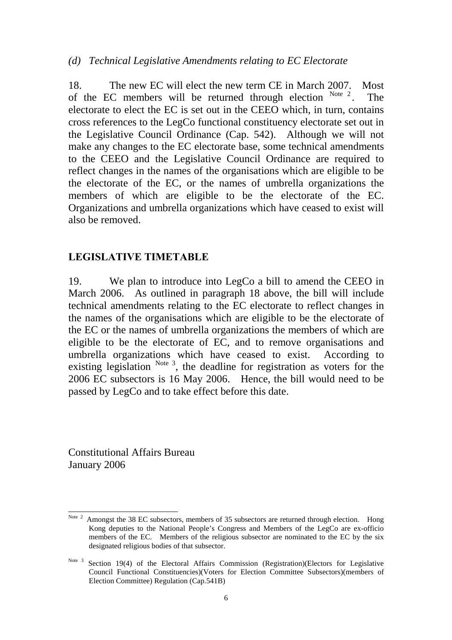#### *(d) Technical Legislative Amendments relating to EC Electorate*

18. The new EC will elect the new term CE in March 2007. Most of the EC members will be returned through election  $N_{\text{ode}}^2$ . The electorate to elect the EC is set out in the CEEO which, in turn, contains cross references to the LegCo functional constituency electorate set out in the Legislative Council Ordinance (Cap. 542). Although we will not make any changes to the EC electorate base, some technical amendments to the CEEO and the Legislative Council Ordinance are required to reflect changes in the names of the organisations which are eligible to be the electorate of the EC, or the names of umbrella organizations the members of which are eligible to be the electorate of the EC. Organizations and umbrella organizations which have ceased to exist will also be removed.

#### **LEGISLATIVE TIMETABLE**

19. We plan to introduce into LegCo a bill to amend the CEEO in March 2006. As outlined in paragraph 18 above, the bill will include technical amendments relating to the EC electorate to reflect changes in the names of the organisations which are eligible to be the electorate of the EC or the names of umbrella organizations the members of which are eligible to be the electorate of EC, and to remove organisations and umbrella organizations which have ceased to exist. According to existing legislation  $N^{ote 3}$ , the deadline for registration as voters for the 2006 EC subsectors is 16 May 2006. Hence, the bill would need to be passed by LegCo and to take effect before this date.

Constitutional Affairs Bureau January 2006

 $\overline{a}$ Note  $2$  Amongst the 38 EC subsectors, members of 35 subsectors are returned through election. Hong Kong deputies to the National People's Congress and Members of the LegCo are ex-officio members of the EC. Members of the religious subsector are nominated to the EC by the six designated religious bodies of that subsector.

Note 3 Section 19(4) of the Electoral Affairs Commission (Registration)(Electors for Legislative Council Functional Constituencies)(Voters for Election Committee Subsectors)(members of Election Committee) Regulation (Cap.541B)